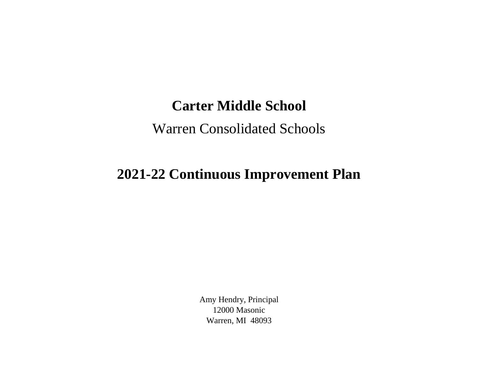## **Carter Middle School**

## Warren Consolidated Schools

## **2021-22 Continuous Improvement Plan**

Amy Hendry, Principal 12000 Masonic Warren, MI 48093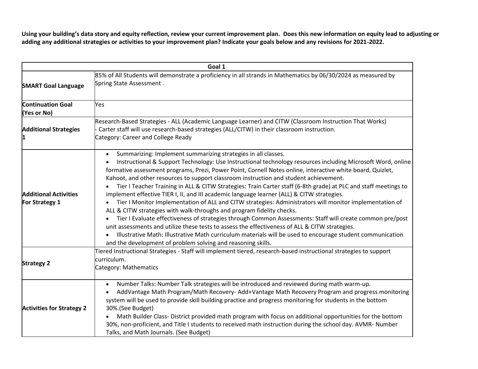**Using your building's data story and equity reflection, review your current improvement plan. Does this new information on equity lead to adjusting or adding any additional strategies or activities to your improvement plan? Indicate your goals below and any revisions for 2021-2022.**

| Goal 1                                         |                                                                                                                                                                                                                                                                                                                                                                                                                                                                                                                                                                                                                                                                                                                                                                                                                                                                                                                                                                                                                                                                                                                                                                                                                |  |
|------------------------------------------------|----------------------------------------------------------------------------------------------------------------------------------------------------------------------------------------------------------------------------------------------------------------------------------------------------------------------------------------------------------------------------------------------------------------------------------------------------------------------------------------------------------------------------------------------------------------------------------------------------------------------------------------------------------------------------------------------------------------------------------------------------------------------------------------------------------------------------------------------------------------------------------------------------------------------------------------------------------------------------------------------------------------------------------------------------------------------------------------------------------------------------------------------------------------------------------------------------------------|--|
| <b>SMART Goal Language</b>                     | 85% of All Students will demonstrate a proficiency in all strands in Mathematics by 06/30/2024 as measured by<br>Spring State Assessment.                                                                                                                                                                                                                                                                                                                                                                                                                                                                                                                                                                                                                                                                                                                                                                                                                                                                                                                                                                                                                                                                      |  |
|                                                |                                                                                                                                                                                                                                                                                                                                                                                                                                                                                                                                                                                                                                                                                                                                                                                                                                                                                                                                                                                                                                                                                                                                                                                                                |  |
| <b>Continuation Goal</b><br>(Yes or No)        | Yes                                                                                                                                                                                                                                                                                                                                                                                                                                                                                                                                                                                                                                                                                                                                                                                                                                                                                                                                                                                                                                                                                                                                                                                                            |  |
| <b>Additional Strategies</b>                   | Research-Based Strategies - ALL (Academic Language Learner) and CITW (Classroom Instruction That Works)<br>Carter staff will use research-based strategies (ALL/CITW) in their classroom instruction.<br>Category: Career and College Ready                                                                                                                                                                                                                                                                                                                                                                                                                                                                                                                                                                                                                                                                                                                                                                                                                                                                                                                                                                    |  |
| <b>Additional Activities</b><br>For Strategy 1 | Summarizing: Implement summarizing strategies in all classes.<br>$\bullet$<br>Instructional & Support Technology: Use Instructional technology resources including Microsoft Word, online<br>$\bullet$<br>formative assessment programs, Prezi, Power Point, Cornell Notes online, interactive white board, Quizlet,<br>Kahoot, and other resources to support classroom instruction and student achievement.<br>Tier I Teacher Training in ALL & CITW Strategies: Train Carter staff (6-8th grade) at PLC and staff meetings to<br>implement effective TIER I, II, and III academic language learner (ALL) & CITW strategies.<br>Tier I Monitor Implementation of ALL and CITW strategies: Administrators will monitor implementation of<br>ALL & CITW strategies with walk-throughs and program fidelity checks.<br>Tier I Evaluate effectiveness of strategies through Common Assessments: Staff will create common pre/post<br>unit assessments and utilize these tests to assess the effectiveness of ALL & CITW strategies.<br>Illustrative Math: Illustrative Math curriculum materials will be used to encourage student communication<br>and the development of problem solving and reasoning skills. |  |
| <b>Strategy 2</b>                              | Tiered Instructional Strategies - Staff will implement tiered, research-based instructional strategies to support<br>curriculum.<br>Category: Mathematics                                                                                                                                                                                                                                                                                                                                                                                                                                                                                                                                                                                                                                                                                                                                                                                                                                                                                                                                                                                                                                                      |  |
| <b>Activities for Strategy 2</b>               | Number Talks: Number Talk strategies will be introduced and reviewed during math warm-up.<br>$\bullet$<br>AddVantage Math Program/Math Recovery-Add+Vantage Math Recovery Program and progress monitoring<br>system will be used to provide skill building practice and progress monitoring for students in the bottom<br>30%.(See Budget)<br>Math Builder Class-District provided math program with focus on additional opportunities for the bottom<br>30%, non-proficient, and Title I students to received math instruction during the school day. AVMR- Number<br>Talks, and Math Journals. (See Budget)                                                                                                                                                                                                                                                                                                                                                                                                                                                                                                                                                                                                  |  |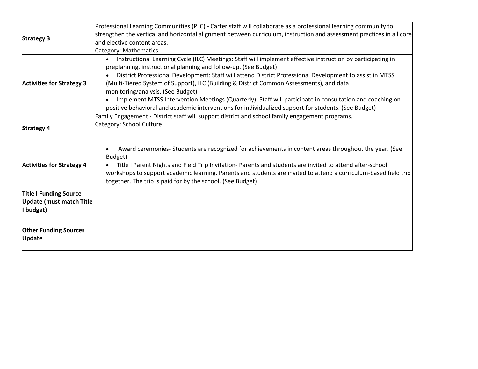| <b>Strategy 3</b>                                                             | Professional Learning Communities (PLC) - Carter staff will collaborate as a professional learning community to<br>strengthen the vertical and horizontal alignment between curriculum, instruction and assessment practices in all core<br>and elective content areas.<br>Category: Mathematics                                                                                                                                                                                                                                                                                                                                                             |
|-------------------------------------------------------------------------------|--------------------------------------------------------------------------------------------------------------------------------------------------------------------------------------------------------------------------------------------------------------------------------------------------------------------------------------------------------------------------------------------------------------------------------------------------------------------------------------------------------------------------------------------------------------------------------------------------------------------------------------------------------------|
| <b>Activities for Strategy 3</b>                                              | Instructional Learning Cycle (ILC) Meetings: Staff will implement effective instruction by participating in<br>$\bullet$<br>preplanning, instructional planning and follow-up. (See Budget)<br>District Professional Development: Staff will attend District Professional Development to assist in MTSS<br>(Multi-Tiered System of Support), ILC (Building & District Common Assessments), and data<br>monitoring/analysis. (See Budget)<br>Implement MTSS Intervention Meetings (Quarterly): Staff will participate in consultation and coaching on<br>positive behavioral and academic interventions for individualized support for students. (See Budget) |
| <b>Strategy 4</b>                                                             | Family Engagement - District staff will support district and school family engagement programs.<br>Category: School Culture                                                                                                                                                                                                                                                                                                                                                                                                                                                                                                                                  |
| <b>Activities for Strategy 4</b>                                              | Award ceremonies- Students are recognized for achievements in content areas throughout the year. (See<br>$\bullet$<br>Budget)<br>Title I Parent Nights and Field Trip Invitation- Parents and students are invited to attend after-school<br>workshops to support academic learning. Parents and students are invited to attend a curriculum-based field trip<br>together. The trip is paid for by the school. (See Budget)                                                                                                                                                                                                                                  |
| <b>Title I Funding Source</b><br><b>Update (must match Title</b><br>I budget) |                                                                                                                                                                                                                                                                                                                                                                                                                                                                                                                                                                                                                                                              |
| <b>Other Funding Sources</b><br><b>Update</b>                                 |                                                                                                                                                                                                                                                                                                                                                                                                                                                                                                                                                                                                                                                              |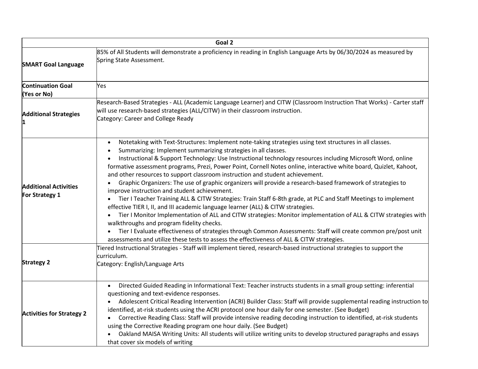|                                                | Goal 2                                                                                                                                                                                                                                                                                                                                                                                                                                                                                                                                                                                                                                                                                                                                                                                                                                                                                                                                                                                                                                                                                                                                                                                                                                           |
|------------------------------------------------|--------------------------------------------------------------------------------------------------------------------------------------------------------------------------------------------------------------------------------------------------------------------------------------------------------------------------------------------------------------------------------------------------------------------------------------------------------------------------------------------------------------------------------------------------------------------------------------------------------------------------------------------------------------------------------------------------------------------------------------------------------------------------------------------------------------------------------------------------------------------------------------------------------------------------------------------------------------------------------------------------------------------------------------------------------------------------------------------------------------------------------------------------------------------------------------------------------------------------------------------------|
| <b>SMART Goal Language</b>                     | 85% of All Students will demonstrate a proficiency in reading in English Language Arts by 06/30/2024 as measured by<br>Spring State Assessment.                                                                                                                                                                                                                                                                                                                                                                                                                                                                                                                                                                                                                                                                                                                                                                                                                                                                                                                                                                                                                                                                                                  |
| <b>Continuation Goal</b><br>(Yes or No)        | Yes                                                                                                                                                                                                                                                                                                                                                                                                                                                                                                                                                                                                                                                                                                                                                                                                                                                                                                                                                                                                                                                                                                                                                                                                                                              |
| <b>Additional Strategies</b>                   | Research-Based Strategies - ALL (Academic Language Learner) and CITW (Classroom Instruction That Works) - Carter staff<br>will use research-based strategies (ALL/CITW) in their classroom instruction.<br>Category: Career and College Ready                                                                                                                                                                                                                                                                                                                                                                                                                                                                                                                                                                                                                                                                                                                                                                                                                                                                                                                                                                                                    |
| <b>Additional Activities</b><br>For Strategy 1 | Notetaking with Text-Structures: Implement note-taking strategies using text structures in all classes.<br>Summarizing: Implement summarizing strategies in all classes.<br>Instructional & Support Technology: Use Instructional technology resources including Microsoft Word, online<br>formative assessment programs, Prezi, Power Point, Cornell Notes online, interactive white board, Quizlet, Kahoot,<br>and other resources to support classroom instruction and student achievement.<br>Graphic Organizers: The use of graphic organizers will provide a research-based framework of strategies to<br>improve instruction and student achievement.<br>Tier I Teacher Training ALL & CITW Strategies: Train Staff 6-8th grade, at PLC and Staff Meetings to implement<br>effective TIER I, II, and III academic language learner (ALL) & CITW strategies.<br>Tier I Monitor Implementation of ALL and CITW strategies: Monitor implementation of ALL & CITW strategies with<br>walkthroughs and program fidelity checks.<br>Tier I Evaluate effectiveness of strategies through Common Assessments: Staff will create common pre/post unit<br>assessments and utilize these tests to assess the effectiveness of ALL & CITW strategies. |
| <b>Strategy 2</b>                              | Tiered Instructional Strategies - Staff will implement tiered, research-based instructional strategies to support the<br>curriculum.<br>Category: English/Language Arts                                                                                                                                                                                                                                                                                                                                                                                                                                                                                                                                                                                                                                                                                                                                                                                                                                                                                                                                                                                                                                                                          |
| <b>Activities for Strategy 2</b>               | Directed Guided Reading in Informational Text: Teacher instructs students in a small group setting: inferential<br>questioning and text-evidence responses.<br>Adolescent Critical Reading Intervention (ACRI) Builder Class: Staff will provide supplemental reading instruction to<br>identified, at-risk students using the ACRI protocol one hour daily for one semester. (See Budget)<br>Corrective Reading Class: Staff will provide intensive reading decoding instruction to identified, at-risk students<br>using the Corrective Reading program one hour daily. (See Budget)<br>Oakland MAISA Writing Units: All students will utilize writing units to develop structured paragraphs and essays<br>that cover six models of writing                                                                                                                                                                                                                                                                                                                                                                                                                                                                                                   |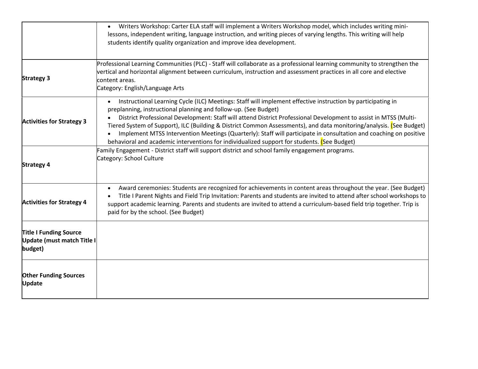|                                                                               | Writers Workshop: Carter ELA staff will implement a Writers Workshop model, which includes writing mini-<br>lessons, independent writing, language instruction, and writing pieces of varying lengths. This writing will help<br>students identify quality organization and improve idea development.                                                                                                                                                                                                                                                                                                                                                      |
|-------------------------------------------------------------------------------|------------------------------------------------------------------------------------------------------------------------------------------------------------------------------------------------------------------------------------------------------------------------------------------------------------------------------------------------------------------------------------------------------------------------------------------------------------------------------------------------------------------------------------------------------------------------------------------------------------------------------------------------------------|
| <b>Strategy 3</b>                                                             | Professional Learning Communities (PLC) - Staff will collaborate as a professional learning community to strengthen the<br>vertical and horizontal alignment between curriculum, instruction and assessment practices in all core and elective<br>content areas.<br>Category: English/Language Arts                                                                                                                                                                                                                                                                                                                                                        |
| <b>Activities for Strategy 3</b>                                              | Instructional Learning Cycle (ILC) Meetings: Staff will implement effective instruction by participating in<br>$\bullet$<br>preplanning, instructional planning and follow-up. (See Budget)<br>District Professional Development: Staff will attend District Professional Development to assist in MTSS (Multi-<br>Tiered System of Support), ILC (Building & District Common Assessments), and data monitoring/analysis. (See Budget)<br>Implement MTSS Intervention Meetings (Quarterly): Staff will participate in consultation and coaching on positive<br>behavioral and academic interventions for individualized support for students. (See Budget) |
| <b>Strategy 4</b>                                                             | Family Engagement - District staff will support district and school family engagement programs.<br>Category: School Culture                                                                                                                                                                                                                                                                                                                                                                                                                                                                                                                                |
| <b>Activities for Strategy 4</b>                                              | Award ceremonies: Students are recognized for achievements in content areas throughout the year. (See Budget)<br>Title I Parent Nights and Field Trip Invitation: Parents and students are invited to attend after school workshops to<br>support academic learning. Parents and students are invited to attend a curriculum-based field trip together. Trip is<br>paid for by the school. (See Budget)                                                                                                                                                                                                                                                    |
| <b>Title I Funding Source</b><br><b>Update (must match Title I</b><br>budget) |                                                                                                                                                                                                                                                                                                                                                                                                                                                                                                                                                                                                                                                            |
| <b>Other Funding Sources</b><br><b>Update</b>                                 |                                                                                                                                                                                                                                                                                                                                                                                                                                                                                                                                                                                                                                                            |